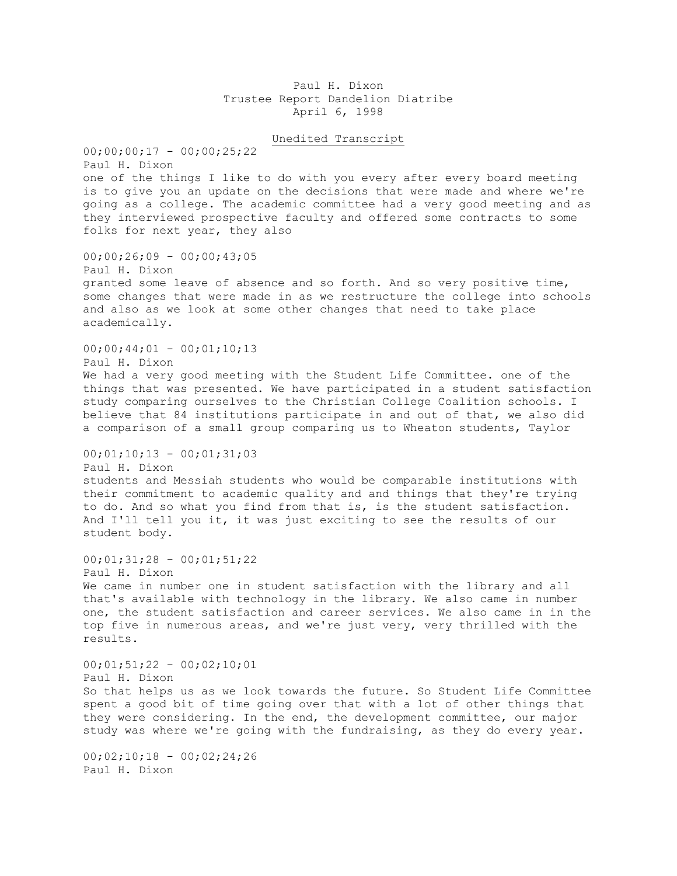## Paul H. Dixon Trustee Report Dandelion Diatribe April 6, 1998

## Unedited Transcript

 $00;00;00;17 - 00;00;25;22$ Paul H. Dixon one of the things I like to do with you every after every board meeting is to give you an update on the decisions that were made and where we're going as a college. The academic committee had a very good meeting and as they interviewed prospective faculty and offered some contracts to some folks for next year, they also

 $00;00;26;09 - 00;00;43;05$ 

Paul H. Dixon granted some leave of absence and so forth. And so very positive time, some changes that were made in as we restructure the college into schools and also as we look at some other changes that need to take place academically.

 $00;00;44;01 - 00;01;10;13$ 

Paul H. Dixon We had a very good meeting with the Student Life Committee. one of the things that was presented. We have participated in a student satisfaction study comparing ourselves to the Christian College Coalition schools. I believe that 84 institutions participate in and out of that, we also did a comparison of a small group comparing us to Wheaton students, Taylor

 $00;01;10;13 - 00;01;31;03$ 

Paul H. Dixon

students and Messiah students who would be comparable institutions with their commitment to academic quality and and things that they're trying to do. And so what you find from that is, is the student satisfaction. And I'll tell you it, it was just exciting to see the results of our student body.

 $00;01;31;28 - 00;01;51;22$ Paul H. Dixon We came in number one in student satisfaction with the library and all that's available with technology in the library. We also came in number one, the student satisfaction and career services. We also came in in the top five in numerous areas, and we're just very, very thrilled with the results.

00;01;51;22 - 00;02;10;01 Paul H. Dixon So that helps us as we look towards the future. So Student Life Committee spent a good bit of time going over that with a lot of other things that they were considering. In the end, the development committee, our major study was where we're going with the fundraising, as they do every year.

 $00;02;10;18 - 00;02;24;26$ Paul H. Dixon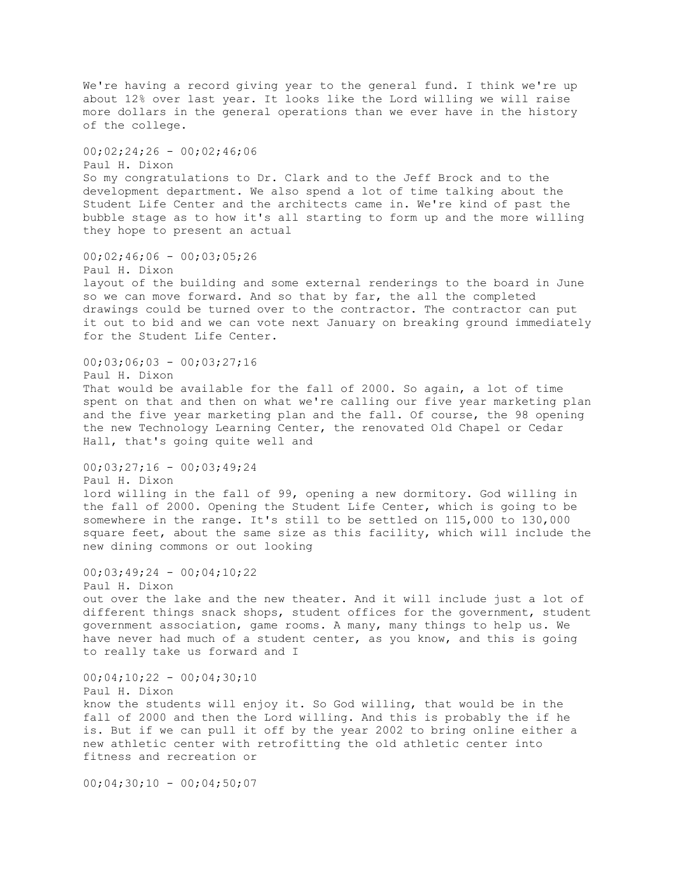We're having a record giving year to the general fund. I think we're up about 12% over last year. It looks like the Lord willing we will raise more dollars in the general operations than we ever have in the history of the college. 00;02;24;26 - 00;02;46;06 Paul H. Dixon So my congratulations to Dr. Clark and to the Jeff Brock and to the development department. We also spend a lot of time talking about the Student Life Center and the architects came in. We're kind of past the bubble stage as to how it's all starting to form up and the more willing they hope to present an actual  $00;02;46;06 - 00;03;05;26$ Paul H. Dixon layout of the building and some external renderings to the board in June so we can move forward. And so that by far, the all the completed drawings could be turned over to the contractor. The contractor can put it out to bid and we can vote next January on breaking ground immediately for the Student Life Center. 00;03;06;03 - 00;03;27;16 Paul H. Dixon That would be available for the fall of 2000. So again, a lot of time spent on that and then on what we're calling our five year marketing plan and the five year marketing plan and the fall. Of course, the 98 opening the new Technology Learning Center, the renovated Old Chapel or Cedar Hall, that's going quite well and  $00;03;27;16 - 00;03;49;24$ Paul H. Dixon lord willing in the fall of 99, opening a new dormitory. God willing in the fall of 2000. Opening the Student Life Center, which is going to be somewhere in the range. It's still to be settled on 115,000 to 130,000 square feet, about the same size as this facility, which will include the new dining commons or out looking 00;03;49;24 - 00;04;10;22 Paul H. Dixon out over the lake and the new theater. And it will include just a lot of different things snack shops, student offices for the government, student government association, game rooms. A many, many things to help us. We have never had much of a student center, as you know, and this is going to really take us forward and I  $00:04;10;22 - 00;04;30;10$ Paul H. Dixon know the students will enjoy it. So God willing, that would be in the fall of 2000 and then the Lord willing. And this is probably the if he is. But if we can pull it off by the year 2002 to bring online either a new athletic center with retrofitting the old athletic center into fitness and recreation or

 $00;04;30;10 - 00;04;50;07$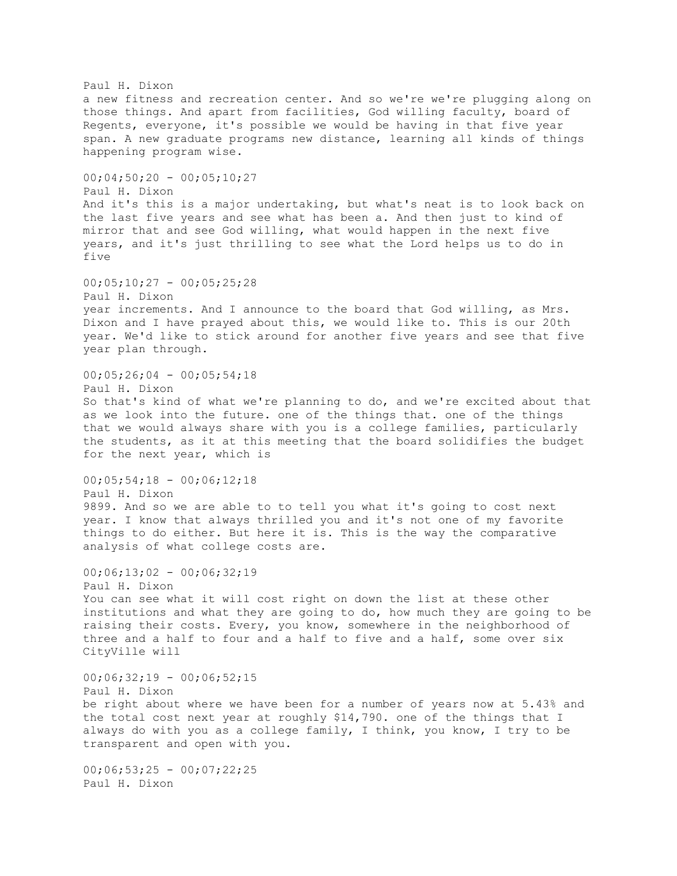Paul H. Dixon a new fitness and recreation center. And so we're we're plugging along on those things. And apart from facilities, God willing faculty, board of Regents, everyone, it's possible we would be having in that five year span. A new graduate programs new distance, learning all kinds of things happening program wise.  $00;04;50;20 - 00;05;10;27$ Paul H. Dixon And it's this is a major undertaking, but what's neat is to look back on the last five years and see what has been a. And then just to kind of mirror that and see God willing, what would happen in the next five years, and it's just thrilling to see what the Lord helps us to do in five  $00;05;10;27 - 00;05;25;28$ Paul H. Dixon year increments. And I announce to the board that God willing, as Mrs. Dixon and I have prayed about this, we would like to. This is our 20th year. We'd like to stick around for another five years and see that five year plan through. 00;05;26;04 - 00;05;54;18 Paul H. Dixon So that's kind of what we're planning to do, and we're excited about that as we look into the future. one of the things that. one of the things that we would always share with you is a college families, particularly the students, as it at this meeting that the board solidifies the budget for the next year, which is  $00;05;54;18 - 00;06;12;18$ Paul H. Dixon 9899. And so we are able to to tell you what it's going to cost next year. I know that always thrilled you and it's not one of my favorite things to do either. But here it is. This is the way the comparative analysis of what college costs are.  $00;06;13;02 - 00;06;32;19$ Paul H. Dixon You can see what it will cost right on down the list at these other institutions and what they are going to do, how much they are going to be raising their costs. Every, you know, somewhere in the neighborhood of three and a half to four and a half to five and a half, some over six CityVille will  $00;06;32;19 - 00;06;52;15$ Paul H. Dixon be right about where we have been for a number of years now at 5.43% and the total cost next year at roughly \$14,790. one of the things that I always do with you as a college family, I think, you know, I try to be transparent and open with you.  $00;06;53;25 - 00;07;22;25$ Paul H. Dixon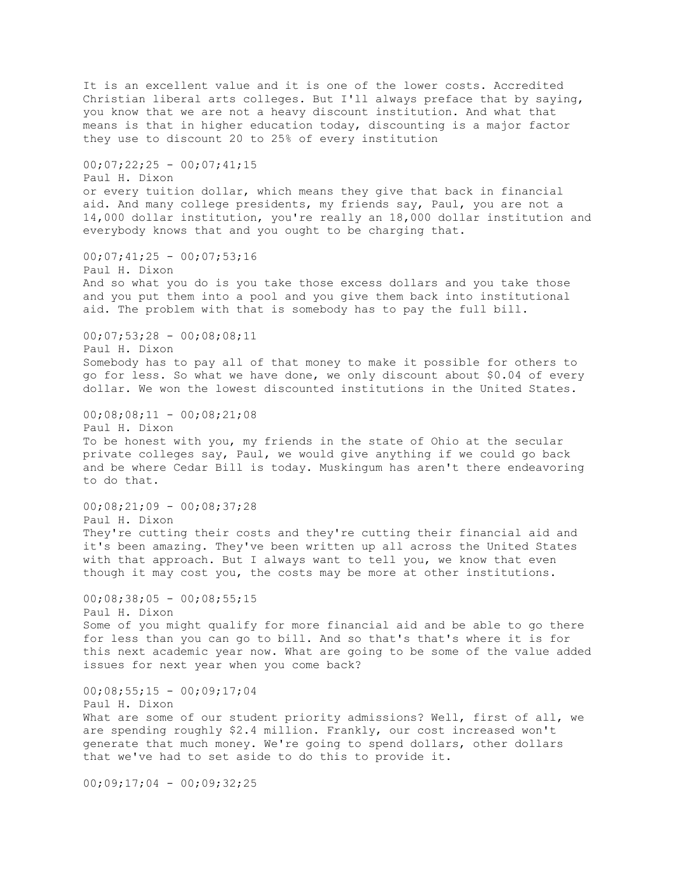It is an excellent value and it is one of the lower costs. Accredited Christian liberal arts colleges. But I'll always preface that by saying, you know that we are not a heavy discount institution. And what that means is that in higher education today, discounting is a major factor they use to discount 20 to 25% of every institution  $00;07;22;25 - 00;07;41;15$ Paul H. Dixon or every tuition dollar, which means they give that back in financial aid. And many college presidents, my friends say, Paul, you are not a 14,000 dollar institution, you're really an 18,000 dollar institution and everybody knows that and you ought to be charging that.  $00;07;41;25 - 00;07;53;16$ Paul H. Dixon And so what you do is you take those excess dollars and you take those and you put them into a pool and you give them back into institutional aid. The problem with that is somebody has to pay the full bill.  $00;07;53;28 - 00;08;08;11$ Paul H. Dixon Somebody has to pay all of that money to make it possible for others to go for less. So what we have done, we only discount about \$0.04 of every dollar. We won the lowest discounted institutions in the United States.  $00;08;08;11 - 00;08;21;08$ Paul H. Dixon To be honest with you, my friends in the state of Ohio at the secular private colleges say, Paul, we would give anything if we could go back and be where Cedar Bill is today. Muskingum has aren't there endeavoring to do that.  $00;08;21;09 - 00;08;37;28$ Paul H. Dixon They're cutting their costs and they're cutting their financial aid and it's been amazing. They've been written up all across the United States with that approach. But I always want to tell you, we know that even though it may cost you, the costs may be more at other institutions.  $00:08:38:05 - 00:08:55:15$ Paul H. Dixon Some of you might qualify for more financial aid and be able to go there for less than you can go to bill. And so that's that's where it is for this next academic year now. What are going to be some of the value added issues for next year when you come back?  $00;08;55;15 - 00;09;17;04$ Paul H. Dixon What are some of our student priority admissions? Well, first of all, we are spending roughly \$2.4 million. Frankly, our cost increased won't generate that much money. We're going to spend dollars, other dollars that we've had to set aside to do this to provide it.  $00;09;17;04 - 00;09;32;25$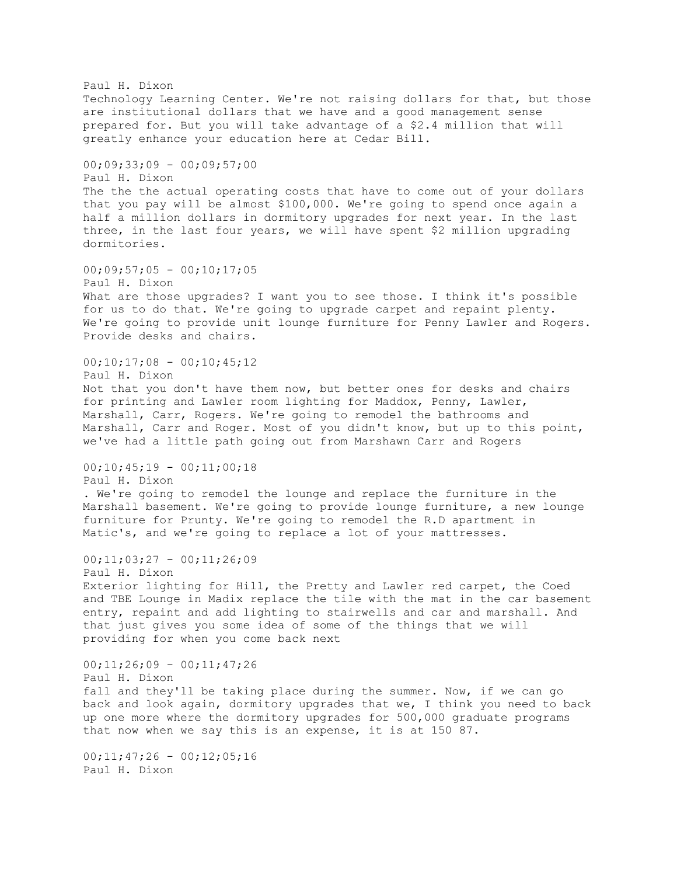Paul H. Dixon Technology Learning Center. We're not raising dollars for that, but those are institutional dollars that we have and a good management sense prepared for. But you will take advantage of a \$2.4 million that will greatly enhance your education here at Cedar Bill. 00;09;33;09 - 00;09;57;00 Paul H. Dixon The the the actual operating costs that have to come out of your dollars that you pay will be almost \$100,000. We're going to spend once again a half a million dollars in dormitory upgrades for next year. In the last three, in the last four years, we will have spent \$2 million upgrading dormitories.  $00;09;57;05 - 00;10;17;05$ Paul H. Dixon What are those upgrades? I want you to see those. I think it's possible for us to do that. We're going to upgrade carpet and repaint plenty. We're going to provide unit lounge furniture for Penny Lawler and Rogers. Provide desks and chairs.  $00;10;17;08 - 00;10;45;12$ Paul H. Dixon Not that you don't have them now, but better ones for desks and chairs for printing and Lawler room lighting for Maddox, Penny, Lawler, Marshall, Carr, Rogers. We're going to remodel the bathrooms and Marshall, Carr and Roger. Most of you didn't know, but up to this point, we've had a little path going out from Marshawn Carr and Rogers  $00;10;45;19 - 00;11;00;18$ Paul H. Dixon . We're going to remodel the lounge and replace the furniture in the Marshall basement. We're going to provide lounge furniture, a new lounge furniture for Prunty. We're going to remodel the R.D apartment in Matic's, and we're going to replace a lot of your mattresses. 00;11;03;27 - 00;11;26;09 Paul H. Dixon Exterior lighting for Hill, the Pretty and Lawler red carpet, the Coed and TBE Lounge in Madix replace the tile with the mat in the car basement entry, repaint and add lighting to stairwells and car and marshall. And that just gives you some idea of some of the things that we will providing for when you come back next 00;11;26;09 - 00;11;47;26 Paul H. Dixon fall and they'll be taking place during the summer. Now, if we can go back and look again, dormitory upgrades that we, I think you need to back up one more where the dormitory upgrades for 500,000 graduate programs that now when we say this is an expense, it is at 150 87.  $00;11;47;26 - 00;12;05;16$ Paul H. Dixon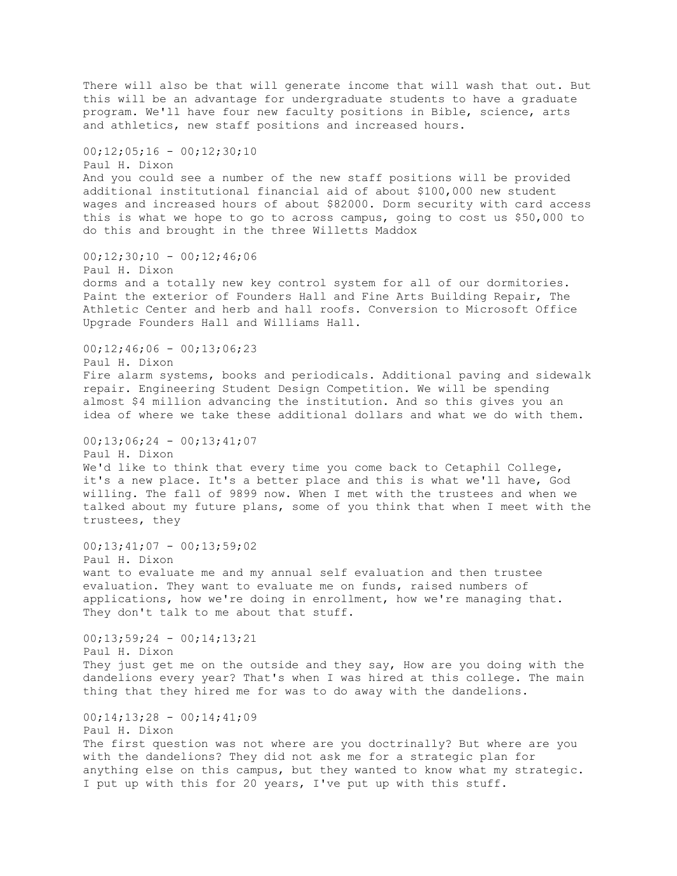There will also be that will generate income that will wash that out. But this will be an advantage for undergraduate students to have a graduate program. We'll have four new faculty positions in Bible, science, arts and athletics, new staff positions and increased hours.  $00;12;05;16 - 00;12;30;10$ Paul H. Dixon And you could see a number of the new staff positions will be provided additional institutional financial aid of about \$100,000 new student wages and increased hours of about \$82000. Dorm security with card access this is what we hope to go to across campus, going to cost us \$50,000 to do this and brought in the three Willetts Maddox 00;12;30;10 - 00;12;46;06 Paul H. Dixon dorms and a totally new key control system for all of our dormitories. Paint the exterior of Founders Hall and Fine Arts Building Repair, The Athletic Center and herb and hall roofs. Conversion to Microsoft Office Upgrade Founders Hall and Williams Hall.  $00;12;46;06 - 00;13;06;23$ Paul H. Dixon Fire alarm systems, books and periodicals. Additional paving and sidewalk repair. Engineering Student Design Competition. We will be spending almost \$4 million advancing the institution. And so this gives you an idea of where we take these additional dollars and what we do with them.  $00:13:06:24 - 00:13:41:07$ Paul H. Dixon We'd like to think that every time you come back to Cetaphil College, it's a new place. It's a better place and this is what we'll have, God willing. The fall of 9899 now. When I met with the trustees and when we talked about my future plans, some of you think that when I meet with the trustees, they  $00;13;41;07 - 00;13;59;02$ Paul H. Dixon want to evaluate me and my annual self evaluation and then trustee evaluation. They want to evaluate me on funds, raised numbers of applications, how we're doing in enrollment, how we're managing that. They don't talk to me about that stuff. 00;13;59;24 - 00;14;13;21 Paul H. Dixon They just get me on the outside and they say, How are you doing with the dandelions every year? That's when I was hired at this college. The main thing that they hired me for was to do away with the dandelions.  $00;14;13;28 - 00;14;41;09$ Paul H. Dixon The first question was not where are you doctrinally? But where are you with the dandelions? They did not ask me for a strategic plan for anything else on this campus, but they wanted to know what my strategic. I put up with this for 20 years, I've put up with this stuff.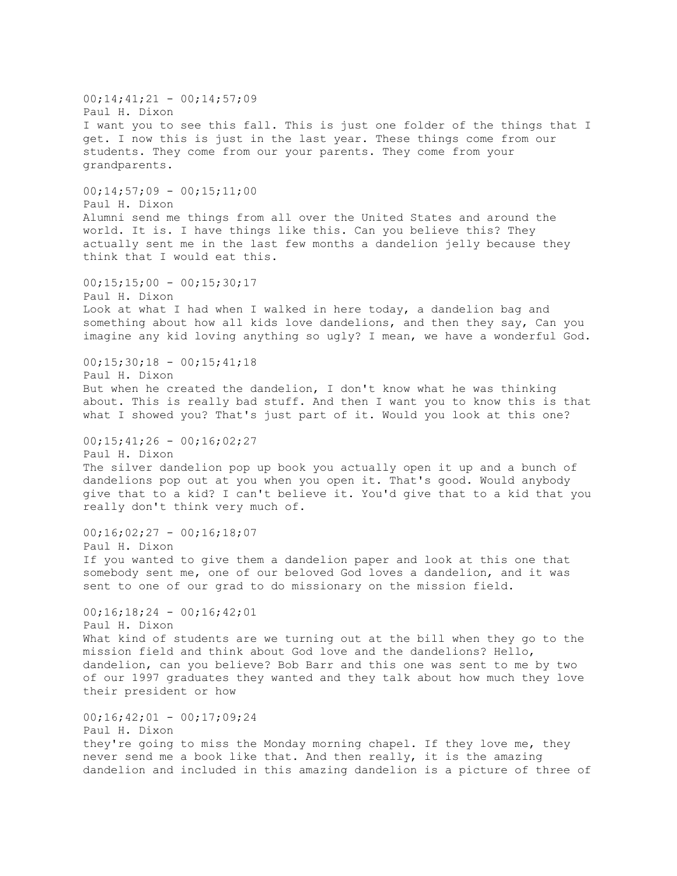$00;14;41;21 - 00;14;57;09$ Paul H. Dixon I want you to see this fall. This is just one folder of the things that I get. I now this is just in the last year. These things come from our students. They come from our your parents. They come from your grandparents.  $00;14;57;09 - 00;15;11;00$ Paul H. Dixon Alumni send me things from all over the United States and around the world. It is. I have things like this. Can you believe this? They actually sent me in the last few months a dandelion jelly because they think that I would eat this.  $00;15;15;00 - 00;15;30;17$ Paul H. Dixon Look at what I had when I walked in here today, a dandelion bag and something about how all kids love dandelions, and then they say, Can you imagine any kid loving anything so ugly? I mean, we have a wonderful God.  $00;15;30;18 - 00;15;41;18$ Paul H. Dixon But when he created the dandelion, I don't know what he was thinking about. This is really bad stuff. And then I want you to know this is that what I showed you? That's just part of it. Would you look at this one?  $00:15:41:26 - 00:16:02:27$ Paul H. Dixon The silver dandelion pop up book you actually open it up and a bunch of dandelions pop out at you when you open it. That's good. Would anybody give that to a kid? I can't believe it. You'd give that to a kid that you really don't think very much of.  $00;16;02;27 - 00;16;18;07$ Paul H. Dixon If you wanted to give them a dandelion paper and look at this one that somebody sent me, one of our beloved God loves a dandelion, and it was sent to one of our grad to do missionary on the mission field.  $00;16;18;24 - 00;16;42;01$ Paul H. Dixon What kind of students are we turning out at the bill when they go to the mission field and think about God love and the dandelions? Hello, dandelion, can you believe? Bob Barr and this one was sent to me by two of our 1997 graduates they wanted and they talk about how much they love their president or how  $00;16;42;01 - 00;17;09;24$ Paul H. Dixon they're going to miss the Monday morning chapel. If they love me, they never send me a book like that. And then really, it is the amazing dandelion and included in this amazing dandelion is a picture of three of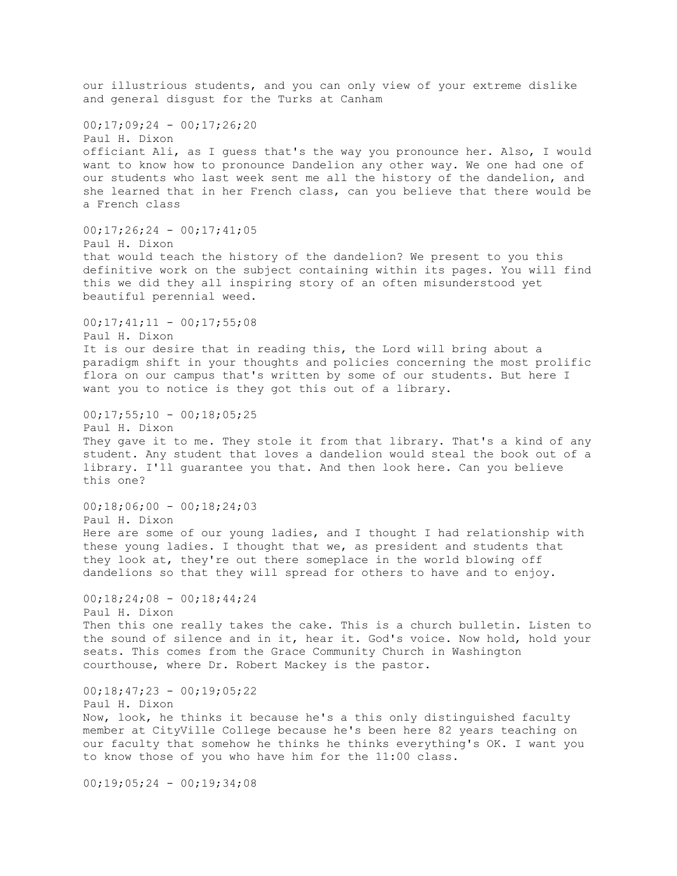our illustrious students, and you can only view of your extreme dislike and general disgust for the Turks at Canham  $00;17;09;24 - 00;17;26;20$ Paul H. Dixon officiant Ali, as I guess that's the way you pronounce her. Also, I would want to know how to pronounce Dandelion any other way. We one had one of our students who last week sent me all the history of the dandelion, and she learned that in her French class, can you believe that there would be a French class  $00;17;26;24 - 00;17;41;05$ Paul H. Dixon that would teach the history of the dandelion? We present to you this definitive work on the subject containing within its pages. You will find this we did they all inspiring story of an often misunderstood yet beautiful perennial weed.  $00;17;41;11 - 00;17;55;08$ Paul H. Dixon It is our desire that in reading this, the Lord will bring about a paradigm shift in your thoughts and policies concerning the most prolific flora on our campus that's written by some of our students. But here I want you to notice is they got this out of a library.  $00;17;55;10 - 00;18;05;25$ Paul H. Dixon They gave it to me. They stole it from that library. That's a kind of any student. Any student that loves a dandelion would steal the book out of a library. I'll guarantee you that. And then look here. Can you believe this one?  $00;18;06;00 - 00;18;24;03$ Paul H. Dixon Here are some of our young ladies, and I thought I had relationship with these young ladies. I thought that we, as president and students that they look at, they're out there someplace in the world blowing off dandelions so that they will spread for others to have and to enjoy.  $00;18;24;08 - 00;18;44;24$ Paul H. Dixon Then this one really takes the cake. This is a church bulletin. Listen to the sound of silence and in it, hear it. God's voice. Now hold, hold your seats. This comes from the Grace Community Church in Washington courthouse, where Dr. Robert Mackey is the pastor.  $00;18;47;23 - 00;19;05;22$ Paul H. Dixon Now, look, he thinks it because he's a this only distinguished faculty member at CityVille College because he's been here 82 years teaching on our faculty that somehow he thinks he thinks everything's OK. I want you to know those of you who have him for the 11:00 class. 00;19;05;24 - 00;19;34;08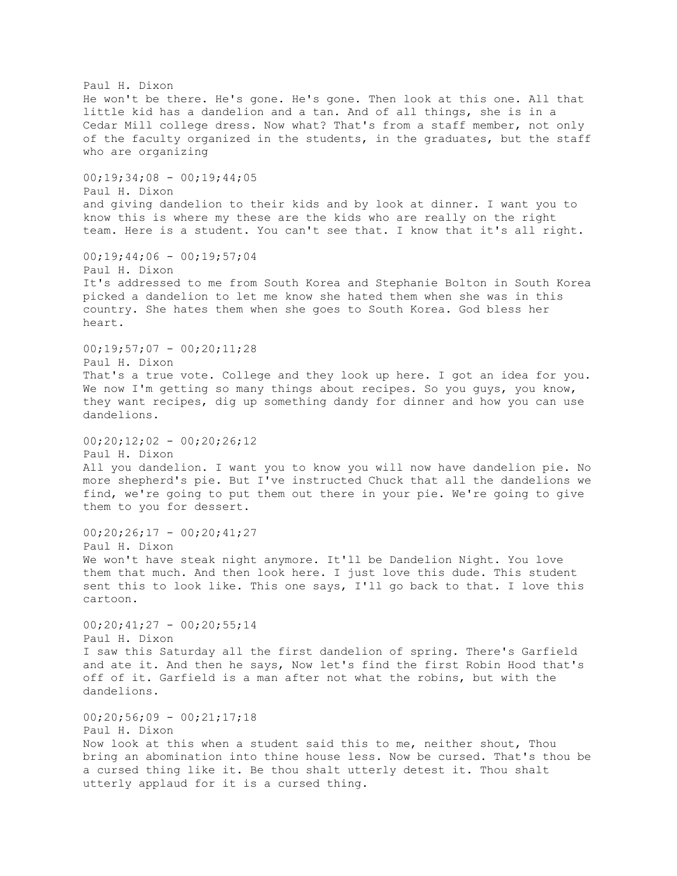Paul H. Dixon He won't be there. He's gone. He's gone. Then look at this one. All that little kid has a dandelion and a tan. And of all things, she is in a Cedar Mill college dress. Now what? That's from a staff member, not only of the faculty organized in the students, in the graduates, but the staff who are organizing  $00;19;34;08 - 00;19;44;05$ Paul H. Dixon and giving dandelion to their kids and by look at dinner. I want you to know this is where my these are the kids who are really on the right team. Here is a student. You can't see that. I know that it's all right.  $00;19;44;06 - 00;19;57;04$ Paul H. Dixon It's addressed to me from South Korea and Stephanie Bolton in South Korea picked a dandelion to let me know she hated them when she was in this country. She hates them when she goes to South Korea. God bless her heart.  $00;19;57;07 - 00;20;11;28$ Paul H. Dixon That's a true vote. College and they look up here. I got an idea for you. We now I'm getting so many things about recipes. So you guys, you know, they want recipes, dig up something dandy for dinner and how you can use dandelions.  $00:20:12:02 - 00:20:26:12$ Paul H. Dixon All you dandelion. I want you to know you will now have dandelion pie. No more shepherd's pie. But I've instructed Chuck that all the dandelions we find, we're going to put them out there in your pie. We're going to give them to you for dessert.  $00;20;26;17 - 00;20;41;27$ Paul H. Dixon We won't have steak night anymore. It'll be Dandelion Night. You love them that much. And then look here. I just love this dude. This student sent this to look like. This one says, I'll go back to that. I love this cartoon.  $00;20;41;27 - 00;20;55;14$ Paul H. Dixon I saw this Saturday all the first dandelion of spring. There's Garfield and ate it. And then he says, Now let's find the first Robin Hood that's off of it. Garfield is a man after not what the robins, but with the dandelions.  $00;20;56;09 - 00;21;17;18$ Paul H. Dixon Now look at this when a student said this to me, neither shout, Thou bring an abomination into thine house less. Now be cursed. That's thou be a cursed thing like it. Be thou shalt utterly detest it. Thou shalt utterly applaud for it is a cursed thing.